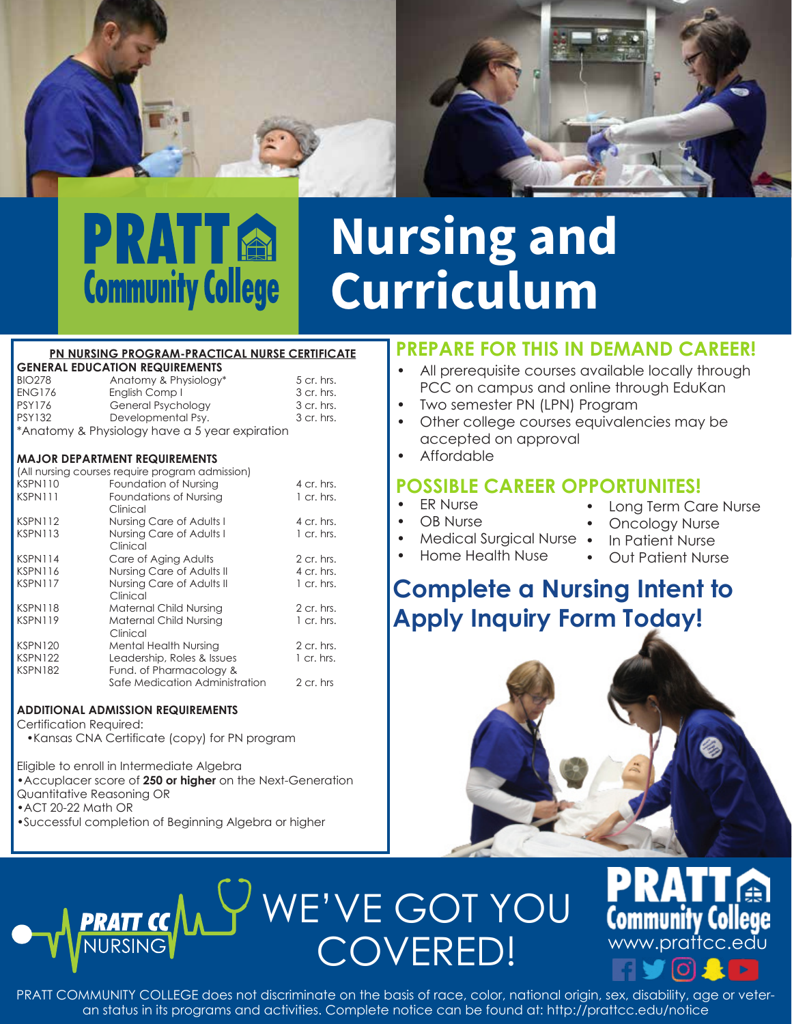

## **Nursing and**  PRATTA **Community College Curriculum**

### **PN NURSING PROGRAM-PRACTICAL NURSE CERTIFICATE**

| <b>GENERAL EDUCATION REQUIREMENTS</b>          |                       |            |  |  |  |  |
|------------------------------------------------|-----------------------|------------|--|--|--|--|
| <b>BIO278</b>                                  | Anatomy & Physiology* | 5 cr. hrs. |  |  |  |  |
| <b>ENG176</b>                                  | English Comp I        | 3 cr. hrs. |  |  |  |  |
| <b>PSY176</b>                                  | General Psychology    | 3 cr. hrs. |  |  |  |  |
| PSY132                                         | Developmental Psy.    | 3 cr. hrs. |  |  |  |  |
| *Anatomy & Physiology have a 5 year expiration |                       |            |  |  |  |  |

#### **MAJOR DEPARTMENT REQUIREMENTS**

| (All nursing courses require program admission) |                                |              |  |  |  |
|-------------------------------------------------|--------------------------------|--------------|--|--|--|
| KSPN110                                         | Foundation of Nursing          | 4 cr. hrs.   |  |  |  |
| KSPN111                                         | Foundations of Nursing         | 1 cr. hrs.   |  |  |  |
|                                                 | Clinical                       |              |  |  |  |
| KSPN112                                         | Nursing Care of Adults I       | 4 cr. hrs.   |  |  |  |
| KSPN113                                         | Nursing Care of Adults I       | 1 cr. hrs.   |  |  |  |
|                                                 | Clinical                       |              |  |  |  |
| KSPN114                                         | Care of Aging Adults           | 2 cr. hrs.   |  |  |  |
| KSPN116                                         | Nursing Care of Adults II      | 4 cr. hrs.   |  |  |  |
| KSPN117                                         | Nursing Care of Adults II      | 1 cr. hrs.   |  |  |  |
|                                                 | Clinical                       |              |  |  |  |
| KSPN118                                         | Maternal Child Nursing         | 2 cr. hrs.   |  |  |  |
| KSPN119                                         | Maternal Child Nursing         | $1$ cr. hrs. |  |  |  |
|                                                 | Clinical                       |              |  |  |  |
| KSPN120                                         | Mental Health Nursing          | $2$ cr. hrs. |  |  |  |
| KSPN122                                         | Leadership, Roles & Issues     | 1 cr. hrs.   |  |  |  |
| KSPN182                                         | Fund. of Pharmacology &        |              |  |  |  |
|                                                 | Safe Medication Administration | 2 cr. hrs    |  |  |  |
|                                                 |                                |              |  |  |  |

#### **ADDITIONAL ADMISSION REQUIREMENTS**

Certification Required:

•Kansas CNA Certificate (copy) for PN program

Eligible to enroll in Intermediate Algebra

•Accuplacer score of **250 or higher** on the Next-Generation

Quantitative Reasoning OR

- •ACT 20-22 Math OR
- •Successful completion of Beginning Algebra or higher

## **PREPARE FOR THIS IN DEMAND CAREER!**

- All prerequisite courses available locally through PCC on campus and online through EduKan
- Two semester PN (LPN) Program
- Other college courses equivalencies may be accepted on approval
- Affordable

## **POSSIBLE CAREER OPPORTUNITES!**

- ER Nurse
- OB Nurse
	- Medical Surgical Nurse
	- Home Health Nuse
- **Oncology Nurse**

• Long Term Care Nurse

- In Patient Nurse
	- Out Patient Nurse

www.prattcc.edu

**Community College** 

## **Complete a Nursing Intent to Apply Inquiry Form Today!**



# WE'VE GOT YOU COVERED!

PRATT COMMUNITY COLLEGE does not discriminate on the basis of race, color, national origin, sex, disability, age or veteran status in its programs and activities. Complete notice can be found at: http://prattcc.edu/notice